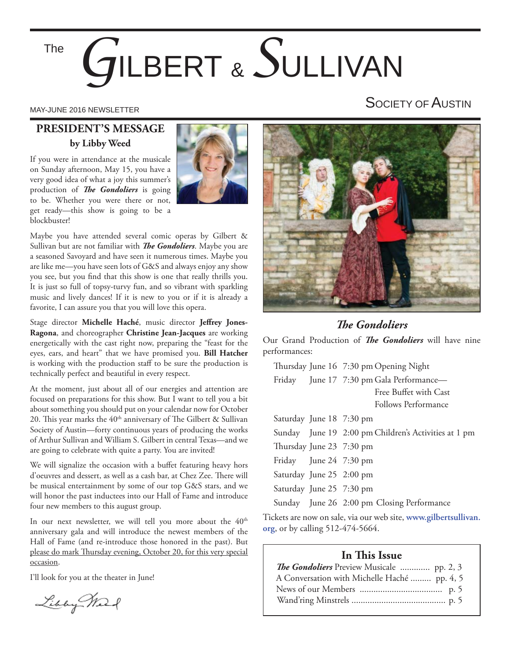# *G*ILBERT & *S*ULLIVAN The

#### **PRESIDENT'S MESSAGE by Libby Weed**

If you were in attendance at the musicale on Sunday afternoon, May 15, you have a very good idea of what a joy this summer's production of *The Gondoliers* is going to be. Whether you were there or not, get ready—this show is going to be a blockbuster!



Maybe you have attended several comic operas by Gilbert & Sullivan but are not familiar with *The Gondoliers*. Maybe you are a seasoned Savoyard and have seen it numerous times. Maybe you are like me—you have seen lots of G&S and always enjoy any show you see, but you find that this show is one that really thrills you. It is just so full of topsy-turvy fun, and so vibrant with sparkling music and lively dances! If it is new to you or if it is already a favorite, I can assure you that you will love this opera.

Stage director Michelle Haché, music director Jeffrey Jones-**Ragona**, and choreographer **Christine Jean-Jacques** are working energetically with the cast right now, preparing the "feast for the eyes, ears, and heart" that we have promised you. **Bill Hatcher**  is working with the production staff to be sure the production is technically perfect and beautiful in every respect.

At the moment, just about all of our energies and attention are focused on preparations for this show. But I want to tell you a bit about something you should put on your calendar now for October 20. This year marks the  $40<sup>th</sup>$  anniversary of The Gilbert & Sullivan Society of Austin—forty continuous years of producing the works of Arthur Sullivan and William S. Gilbert in central Texas—and we are going to celebrate with quite a party. You are invited!

We will signalize the occasion with a buffet featuring heavy hors d'oeuvres and dessert, as well as a cash bar, at Chez Zee. There will be musical entertainment by some of our top G&S stars, and we will honor the past inductees into our Hall of Fame and introduce four new members to this august group.

In our next newsletter, we will tell you more about the  $40<sup>th</sup>$ anniversary gala and will introduce the newest members of the Hall of Fame (and re-introduce those honored in the past). But please do mark Thursday evening, October 20, for this very special occasion.

I'll look for you at the theater in June!

Libby Mar

## MAY-JUNE 2016 NEWSLETTER NEWSLETTER AND THE SOCIETY OF AUSTIN



#### **The Gondoliers**

Our Grand Production of *The Gondoliers* will have nine performances:

|                          | Thursday June 16 7:30 pm Opening Night               |
|--------------------------|------------------------------------------------------|
|                          | Friday June 17 7:30 pm Gala Performance-             |
|                          | Free Buffet with Cast                                |
|                          | Follows Performance                                  |
| Saturday June 18 7:30 pm |                                                      |
|                          | Sunday June 19 2:00 pm Children's Activities at 1 pm |
| Thursday June 23 7:30 pm |                                                      |
| Friday June 24 7:30 pm   |                                                      |
| Saturday June 25 2:00 pm |                                                      |
| Saturday June 25 7:30 pm |                                                      |
|                          | Sunday June 26 2:00 pm Closing Performance           |
|                          |                                                      |

Tickets are now on sale, via our web site, **www.gilbertsullivan. org**, or by calling 512-474-5664.

#### **In This Issue**

| <b>The Gondoliers</b> Preview Musicale  pp. 2, 3 |  |
|--------------------------------------------------|--|
| A Conversation with Michelle Haché  pp. 4, 5     |  |
|                                                  |  |
|                                                  |  |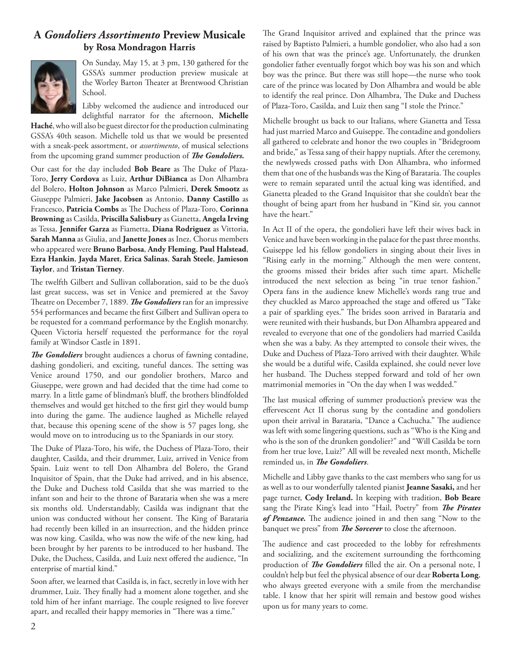#### **A** *Gondoliers Assortimento* **Preview Musicale by Rosa Mondragon Harris**



On Sunday, May 15, at 3 pm, 130 gathered for the GSSA's summer production preview musicale at the Worley Barton Theater at Brentwood Christian School.

Libby welcomed the audience and introduced our delightful narrator for the afternoon, **Michelle** 

**Haché**, who will also be guest director for the production culminating GSSA's 40th season. Michelle told us that we would be presented with a sneak-peek assortment, or *assortimento*, of musical selections from the upcoming grand summer production of *The Gondoliers*.

Our cast for the day included Bob Beare as The Duke of Plaza-Toro, **Jerry Cordova** as Luiz, **Arthur DiBianca** as Don Alhambra del Bolero, **Holton Johnson** as Marco Palmieri, **Derek Smootz** as Giuseppe Palmieri, **Jake Jacobsen** as Antonio, **Danny Castillo** as Francesco, Patricia Combs as The Duchess of Plaza-Toro, Corinna **Browning** as Casilda, **Priscilla Salisbury** as Gianetta, **Angela Irving**  as Tessa, **Jennifer Garza** as Fiametta, **Diana Rodriguez** as Vittoria, **Sarah Manna** as Giulia, and **Janette Jones** as Inez. Chorus members who appeared were **Bruno Barbosa**, **Andy Fleming**, **Paul Halstead**, **Ezra Hankin**, **Jayda Maret**, **Erica Salinas**, **Sarah Steele**, **Jamieson Taylor**, and **Tristan Tierney**.

The twelfth Gilbert and Sullivan collaboration, said to be the duo's last great success, was set in Venice and premiered at the Savoy Theatre on December 7, 1889. *The Gondoliers* ran for an impressive 554 performances and became the first Gilbert and Sullivan opera to be requested for a command performance by the English monarchy. Queen Victoria herself requested the performance for the royal family at Windsor Castle in 1891.

**The Gondoliers** brought audiences a chorus of fawning contadine, dashing gondolieri, and exciting, tuneful dances. The setting was Venice around 1750, and our gondolier brothers, Marco and Giuseppe, were grown and had decided that the time had come to marry. In a little game of blindman's bluff, the brothers blindfolded themselves and would get hitched to the first girl they would bump into during the game. The audience laughed as Michelle relayed that, because this opening scene of the show is 57 pages long, she would move on to introducing us to the Spaniards in our story.

The Duke of Plaza-Toro, his wife, the Duchess of Plaza-Toro, their daughter, Casilda, and their drummer, Luiz, arrived in Venice from Spain. Luiz went to tell Don Alhambra del Bolero, the Grand Inquisitor of Spain, that the Duke had arrived, and in his absence, the Duke and Duchess told Casilda that she was married to the infant son and heir to the throne of Barataria when she was a mere six months old. Understandably, Casilda was indignant that the union was conducted without her consent. The King of Barataria had recently been killed in an insurrection, and the hidden prince was now king. Casilda, who was now the wife of the new king, had been brought by her parents to be introduced to her husband. The Duke, the Duchess, Casilda, and Luiz next offered the audience, "In enterprise of martial kind."

Soon after, we learned that Casilda is, in fact, secretly in love with her drummer, Luiz. They finally had a moment alone together, and she told him of her infant marriage. The couple resigned to live forever apart, and recalled their happy memories in "There was a time."

The Grand Inquisitor arrived and explained that the prince was raised by Baptisto Palmieri, a humble gondolier, who also had a son of his own that was the prince's age. Unfortunately, the drunken gondolier father eventually forgot which boy was his son and which boy was the prince. But there was still hope—the nurse who took care of the prince was located by Don Alhambra and would be able to identify the real prince. Don Alhambra, The Duke and Duchess of Plaza-Toro, Casilda, and Luiz then sang "I stole the Prince."

Michelle brought us back to our Italians, where Gianetta and Tessa had just married Marco and Guiseppe. The contadine and gondoliers all gathered to celebrate and honor the two couples in "Bridegroom and bride," as Tessa sang of their happy nuptials. After the ceremony, the newlyweds crossed paths with Don Alhambra, who informed them that one of the husbands was the King of Barataria. The couples were to remain separated until the actual king was identified, and Gianetta pleaded to the Grand Inquisitor that she couldn't bear the thought of being apart from her husband in "Kind sir, you cannot have the heart."

In Act II of the opera, the gondolieri have left their wives back in Venice and have been working in the palace for the past three months. Guiseppe led his fellow gondoliers in singing about their lives in "Rising early in the morning." Although the men were content, the grooms missed their brides after such time apart. Michelle introduced the next selection as being "in true tenor fashion." Opera fans in the audience knew Michelle's words rang true and they chuckled as Marco approached the stage and offered us "Take a pair of sparkling eyes." The brides soon arrived in Barataria and were reunited with their husbands, but Don Alhambra appeared and revealed to everyone that one of the gondoliers had married Casilda when she was a baby. As they attempted to console their wives, the Duke and Duchess of Plaza-Toro arrived with their daughter. While she would be a dutiful wife, Casilda explained, she could never love her husband. The Duchess stepped forward and told of her own matrimonial memories in "On the day when I was wedded."

The last musical offering of summer production's preview was the effervescent Act II chorus sung by the contadine and gondoliers upon their arrival in Barataria, "Dance a Cachucha." The audience was left with some lingering questions, such as "Who is the King and who is the son of the drunken gondolier?" and "Will Casilda be torn from her true love, Luiz?" All will be revealed next month, Michelle reminded us, in *The Gondoliers*.

Michelle and Libby gave thanks to the cast members who sang for us as well as to our wonderfully talented pianist **Jeanne Sasaki,** and her page turner, **Cody Ireland.** In keeping with tradition, **Bob Beare** sang the Pirate King's lead into "Hail, Poetry" from *The Pirates* of Penzance. The audience joined in and then sang "Now to the banquet we press" from *The Sorcerer* to close the afternoon.

The audience and cast proceeded to the lobby for refreshments and socializing, and the excitement surrounding the forthcoming production of *The Gondoliers* filled the air. On a personal note, I couldn't help but feel the physical absence of our dear **Roberta Long**, who always greeted everyone with a smile from the merchandise table. I know that her spirit will remain and bestow good wishes upon us for many years to come.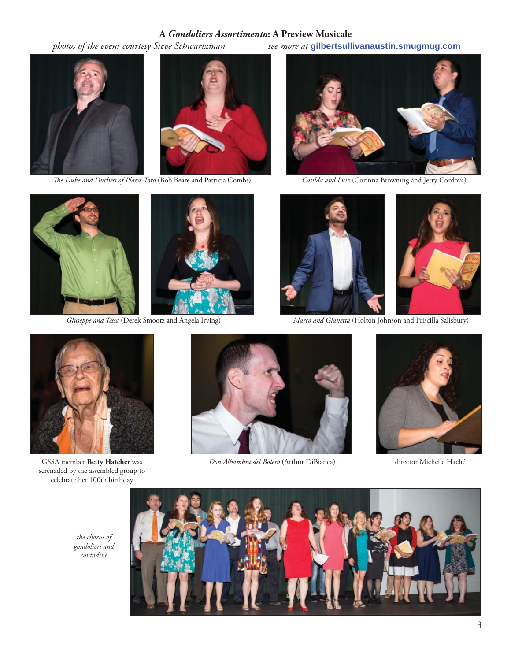#### **A** *Gondoliers Assortimento***: A Preview Musicale**





*The Duke and Duchess of Plaza-Toro* (Bob Beare and Patricia Combs) *Casilda and Luiz* (Corinna Browning and Jerry Cordova)

 *photos of the event courtesy Steve Schwartzman see more at* **gilbertsullivanaustin.smugmug.com**







 *Giuseppe and Tessa* (Derek Smootz and Angela Irving) *Marco and Gianetta* (Holton Johnson and Priscilla Salisbury)



serenaded by the assembled group to celebrate her 100th birthday



GSSA member **Betty Hatcher** was *Don Alhambra del Bolero* (Arthur DiBianca) director Michelle Haché





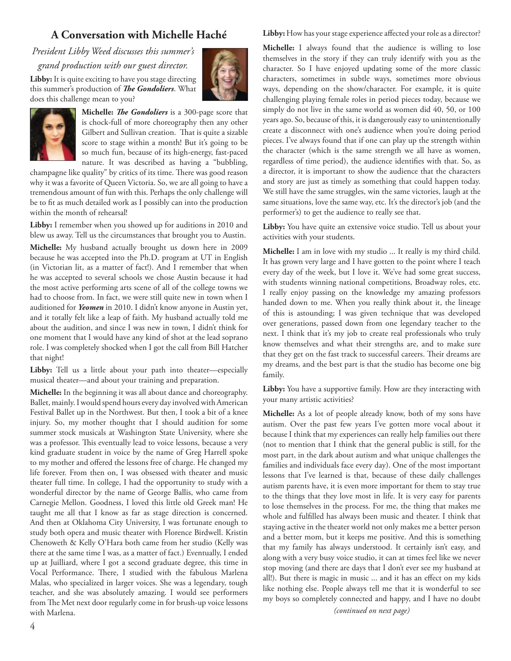#### **A Conversation with Michelle Haché**

*President Libby Weed discusses this summer's* 

*grand production with our guest director.*

**Libby:** It is quite exciting to have you stage directing this summer's production of *The Gondoliers*. What does this challenge mean to you?





**Michelle:** *The Gondoliers* is a 300-page score that is chock-full of more choreography then any other Gilbert and Sullivan creation. That is quite a sizable score to stage within a month! But it's going to be so much fun, because of its high-energy, fast-paced nature. It was described as having a "bubbling,

champagne like quality" by critics of its time. There was good reason why it was a favorite of Queen Victoria. So, we are all going to have a tremendous amount of fun with this. Perhaps the only challenge will be to fit as much detailed work as I possibly can into the production within the month of rehearsal!

**Libby:** I remember when you showed up for auditions in 2010 and blew us away. Tell us the circumstances that brought you to Austin. **Michelle:** My husband actually brought us down here in 2009 because he was accepted into the Ph.D. program at UT in English (in Victorian lit, as a matter of fact!). And I remember that when he was accepted to several schools we chose Austin because it had the most active performing arts scene of all of the college towns we had to choose from. In fact, we were still quite new in town when I auditioned for *Yeomen* in 2010. I didn't know anyone in Austin yet, and it totally felt like a leap of faith. My husband actually told me about the audition, and since I was new in town, I didn't think for one moment that I would have any kind of shot at the lead soprano role. I was completely shocked when I got the call from Bill Hatcher that night!

Libby: Tell us a little about your path into theater-especially musical theater—and about your training and preparation.

**Michelle:** In the beginning it was all about dance and choreography. Ballet, mainly. I would spend hours every day involved with American Festival Ballet up in the Northwest. But then, I took a bit of a knee injury. So, my mother thought that I should audition for some summer stock musicals at Washington State University, where she was a professor. This eventually lead to voice lessons, because a very kind graduate student in voice by the name of Greg Harrell spoke to my mother and offered the lessons free of charge. He changed my life forever. From then on, I was obsessed with theater and music theater full time. In college, I had the opportunity to study with a wonderful director by the name of George Ballis, who came from Carnegie Mellon. Goodness, I loved this little old Greek man! He taught me all that I know as far as stage direction is concerned. And then at Oklahoma City University, I was fortunate enough to study both opera and music theater with Florence Birdwell. Kristin Chenoweth & Kelly O'Hara both came from her studio (Kelly was there at the same time I was, as a matter of fact.) Eventually, I ended up at Juilliard, where I got a second graduate degree, this time in Vocal Performance. There, I studied with the fabulous Marlena Malas, who specialized in larger voices. She was a legendary, tough teacher, and she was absolutely amazing. I would see performers from The Met next door regularly come in for brush-up voice lessons with Marlena.

Libby: How has your stage experience affected your role as a director?

**Michelle:** I always found that the audience is willing to lose themselves in the story if they can truly identify with you as the character. So I have enjoyed updating some of the more classic characters, sometimes in subtle ways, sometimes more obvious ways, depending on the show/character. For example, it is quite challenging playing female roles in period pieces today, because we simply do not live in the same world as women did 40, 50, or 100 years ago. So, because of this, it is dangerously easy to unintentionally create a disconnect with one's audience when you're doing period pieces. I've always found that if one can play up the strength within the character (which is the same strength we all have as women, regardless of time period), the audience identifies with that. So, as a director, it is important to show the audience that the characters and story are just as timely as something that could happen today. We still have the same struggles, win the same victories, laugh at the same situations, love the same way, etc. It's the director's job (and the performer's) to get the audience to really see that.

Libby: You have quite an extensive voice studio. Tell us about your activities with your students.

**Michelle:** I am in love with my studio ... It really is my third child. It has grown very large and I have gotten to the point where I teach every day of the week, but I love it. We've had some great success, with students winning national competitions, Broadway roles, etc. I really enjoy passing on the knowledge my amazing professors handed down to me. When you really think about it, the lineage of this is astounding; I was given technique that was developed over generations, passed down from one legendary teacher to the next. I think that it's my job to create real professionals who truly know themselves and what their strengths are, and to make sure that they get on the fast track to successful careers. Their dreams are my dreams, and the best part is that the studio has become one big family.

Libby: You have a supportive family. How are they interacting with your many artistic activities?

**Michelle:** As a lot of people already know, both of my sons have autism. Over the past few years I've gotten more vocal about it because I think that my experiences can really help families out there (not to mention that I think that the general public is still, for the most part, in the dark about autism and what unique challenges the families and individuals face every day). One of the most important lessons that I've learned is that, because of these daily challenges autism parents have, it is even more important for them to stay true to the things that they love most in life. It is very easy for parents to lose themselves in the process. For me, the thing that makes me whole and fulfilled has always been music and theater. I think that staying active in the theater world not only makes me a better person and a better mom, but it keeps me positive. And this is something that my family has always understood. It certainly isn't easy, and along with a very busy voice studio, it can at times feel like we never stop moving (and there are days that I don't ever see my husband at all!). But there is magic in music ... and it has an effect on my kids like nothing else. People always tell me that it is wonderful to see my boys so completely connected and happy, and I have no doubt

*(continued on next page)*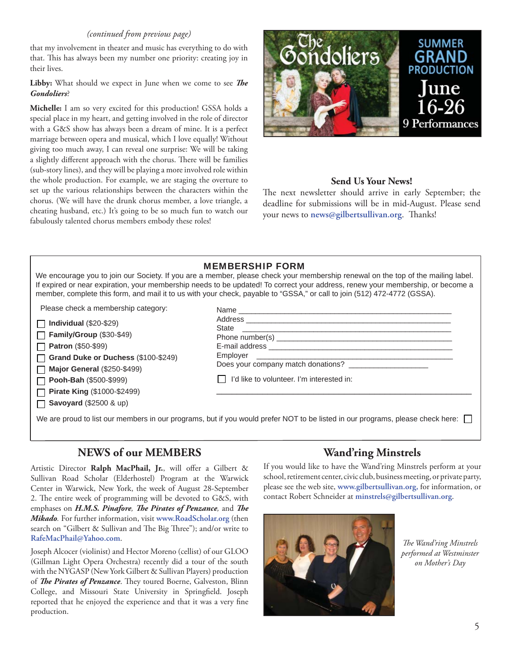#### *(continued from previous page)*

that my involvement in theater and music has everything to do with that. This has always been my number one priority: creating joy in their lives.

#### Libby: What should we expect in June when we come to see *The Gondoliers*?

**Michelle:** I am so very excited for this production! GSSA holds a special place in my heart, and getting involved in the role of director with a G&S show has always been a dream of mine. It is a perfect marriage between opera and musical, which I love equally! Without giving too much away, I can reveal one surprise: We will be taking a slightly different approach with the chorus. There will be families (sub-story lines), and they will be playing a more involved role within the whole production. For example, we are staging the overture to set up the various relationships between the characters within the chorus. (We will have the drunk chorus member, a love triangle, a cheating husband, etc.) It's going to be so much fun to watch our fabulously talented chorus members embody these roles!



#### **Send Us Your News!**

The next newsletter should arrive in early September; the deadline for submissions will be in mid-August. Please send your news to news@gilbertsullivan.org. Thanks!

We encourage you to join our Society. If you are a member, please check your membership renewal on the top of the mailing label. If expired or near expiration, your membership needs to be updated! To correct your address, renew your membership, or become a member, complete this form, and mail it to us with your check, payable to "GSSA," or call to join (512) 472-4772 (GSSA).

Please check a membership category:

**Individual** (\$20-\$29)

**Family/Group** (\$30-\$49)

**Patron** (\$50-\$99) П

 $\Box$ 

**Grand Duke or Duchess** (\$100-\$249) П

**Major General** (\$250-\$499)

**Pooh-Bah** (\$500-\$999) П

**Pirate King** (\$1000-\$2499) **Savoyard** (\$2500 & up)

| State experience and the state of the state of the state of the state of the state of the state of the state of the state of the state of the state of the state of the state of the state of the state of the state of the st |
|--------------------------------------------------------------------------------------------------------------------------------------------------------------------------------------------------------------------------------|
|                                                                                                                                                                                                                                |
|                                                                                                                                                                                                                                |
|                                                                                                                                                                                                                                |
| Does your company match donations?                                                                                                                                                                                             |
| I'd like to volunteer. I'm interested in:                                                                                                                                                                                      |
|                                                                                                                                                                                                                                |

We are proud to list our members in our programs, but if you would prefer NOT to be listed in our programs, please check here:

#### **NEWS of our MEMBERS**

Artistic Director Ralph MacPhail, Jr., will offer a Gilbert & Sullivan Road Scholar (Elderhostel) Program at the Warwick Center in Warwick, New York, the week of August 28-September 2. The entire week of programming will be devoted to G&S, with emphases on *H.M.S. Pinafore*, *The Pirates of Penzance*, and *The Mikado.* For further information, visit **www.RoadScholar.org** (then search on "Gilbert & Sullivan and The Big Three"); and/or write to **RafeMacPhail@Yahoo.com**.

Joseph Alcocer (violinist) and Hector Moreno (cellist) of our GLOO (Gillman Light Opera Orchestra) recently did a tour of the south with the NYGASP (New York Gilbert & Sullivan Players) production of *The Pirates of Penzance*. They toured Boerne, Galveston, Blinn College, and Missouri State University in Springfield. Joseph reported that he enjoyed the experience and that it was a very fine production.

### **Wand'ring Minstrels**

If you would like to have the Wand'ring Minstrels perform at your school, retirement center, civic club, business meeting, or private party, please see the web site, **www.gilbertsullivan.org,** for information, or contact Robert Schneider at **minstrels@gilbertsullivan.org**.



**The Wand'ring Minstrels** *performed at Westminster on Mother's Day*